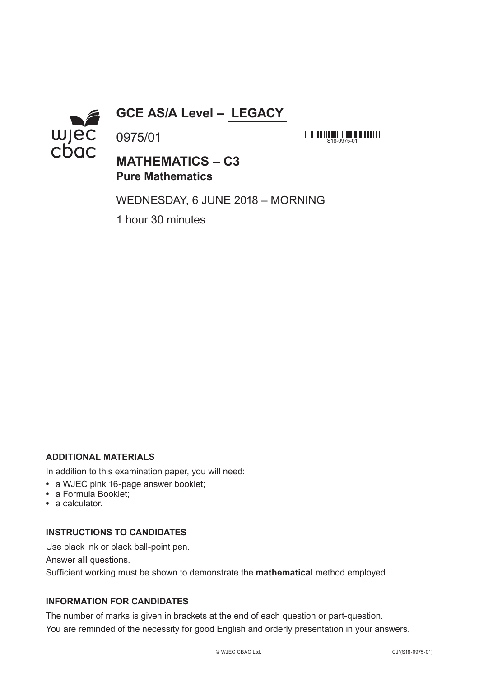

**GCE AS/A Level – LEGACY**

**MINIMINIMINIMINIMINIMINIMI**<br>S18-0975-01

# **MATHEMATICS – C3 Pure Mathematics**

WEDNESDAY, 6 JUNE 2018 – MORNING

1 hour 30 minutes

0975/01

## **ADDITIONAL MATERIALS**

In addition to this examination paper, you will need:

- **•** a WJEC pink 16-page answer booklet;
- **•** a Formula Booklet;
- **•** a calculator.

## **INSTRUCTIONS TO CANDIDATES**

Use black ink or black ball-point pen.

Answer **all** questions.

Sufficient working must be shown to demonstrate the **mathematical** method employed.

# **INFORMATION FOR CANDIDATES**

The number of marks is given in brackets at the end of each question or part-question. You are reminded of the necessity for good English and orderly presentation in your answers.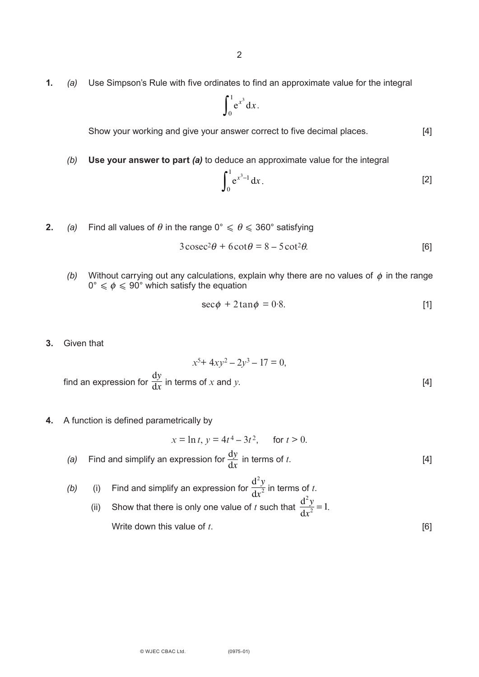**1.** *(a)* Use Simpson's Rule with five ordinates to find an approximate value for the integral

$$
\int_0^1 e^{x^3} dx.
$$

Show your working and give your answer correct to five decimal places. [4]

*(b)* **Use your answer to part** *(a)* to deduce an approximate value for the integral

$$
\int_0^1 e^{x^3 - 1} dx.
$$
 [2]

**2.** *(a)* Find all values of  $\theta$  in the range  $0^{\circ} \le \theta \le 360^{\circ}$  satisfying

$$
3\csc^2\theta + 6\cot\theta = 8 - 5\cot^2\theta.
$$
 [6]

(b) Without carrying out any calculations, explain why there are no values of  $\phi$  in the range  $0^{\circ} \leqslant \phi \leqslant 90^{\circ}$  which satisfy the equation φ φ

$$
\sec \phi + 2 \tan \phi = 0.8. \tag{1}
$$

**3.** Given that

$$
x^{5+} 4xy^2 - 2y^3 - 17 = 0,
$$
  
find an expression for  $\frac{dy}{dx}$  in terms of x and y. [4]

**4.** A function is defined parametrically by

$$
x = \ln t, \, y = 4t^4 - 3t^2, \qquad \text{for } t > 0.
$$

- (a) Find and simplify an expression for  $\frac{dy}{dx}$  in terms of *t*. [4] d*x*
- *(b)* (i) Find and simplify an expression for  $\frac{dy}{dx}$  in terms of *t*. (ii) Show that there is only one value of *t* such that  $\frac{d^2y}{dx^2} = 1$ . Write down this value of *t*.  $d^2y$  $dx^2$  $d^2y$  $\frac{d^2y}{dx^2} = 1$

(0975-01)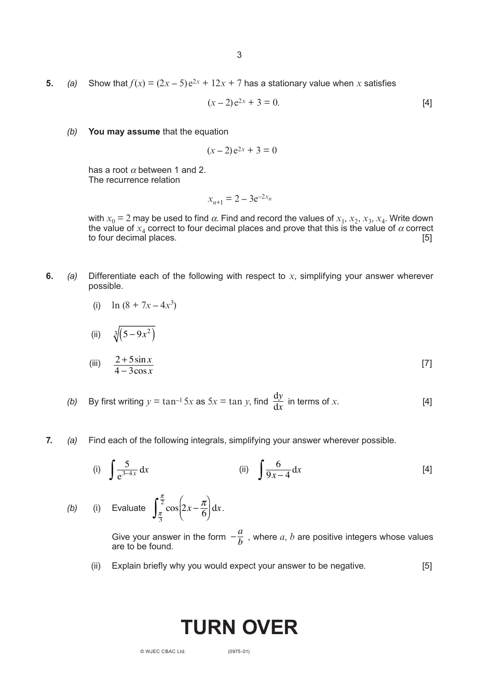**5.** *(a)* Show that  $f(x) = (2x - 5)e^{2x} + 12x + 7$  has a stationary value when x satisfies

$$
(x-2)e^{2x} + 3 = 0.
$$
 [4]

*(b)* **You may assume** that the equation

$$
(x-2)e^{2x} + 3 = 0
$$

has a root  $\alpha$  between 1 and 2. The recurrence relation

$$
x_{n+1} = 2 - 3e^{-2x_n}
$$

with  $x_0 = 2$  may be used to find  $\alpha$ . Find and record the values of  $x_1, x_2, x_3, x_4$ . Write down the value of  $x_4$  correct to four decimal places and prove that this is the value of  $\alpha$  correct to four decimal places. [5]

**6.** *(a)* Differentiate each of the following with respect to *x*, simplifying your answer wherever possible.

(i) 
$$
\ln (8 + 7x - 4x^3)
$$

4 − 3cos *x*

(ii) 
$$
\sqrt[3]{(5-9x^2)}
$$
  
(iii)  $\frac{2+5\sin x}{4}$  [7]

- *(b)* By first writing  $y = \tan^{-1} 5x$  as  $5x = \tan y$ , find  $\frac{dy}{dx}$  in terms of *x*. [4] d*y* d*x*
- **7.** *(a)* Find each of the following integrals, simplifying your answer wherever possible.

(i) 
$$
\int \frac{5}{e^{3-4x}} dx
$$
 (ii)  $\int \frac{6}{9x-4} dx$  [4]

(b) (i) Evaluate 
$$
\int_{\frac{\pi}{3}}^{\frac{\pi}{2}} \cos\left(2x - \frac{\pi}{6}\right) dx.
$$

Give your answer in the form  $-\frac{a}{b}$ , where a, b are positive integers whose values are to be found.  $-\frac{a}{b}$ 

(ii) Explain briefly why you would expect your answer to be negative. [5]

# **TURN OVER**